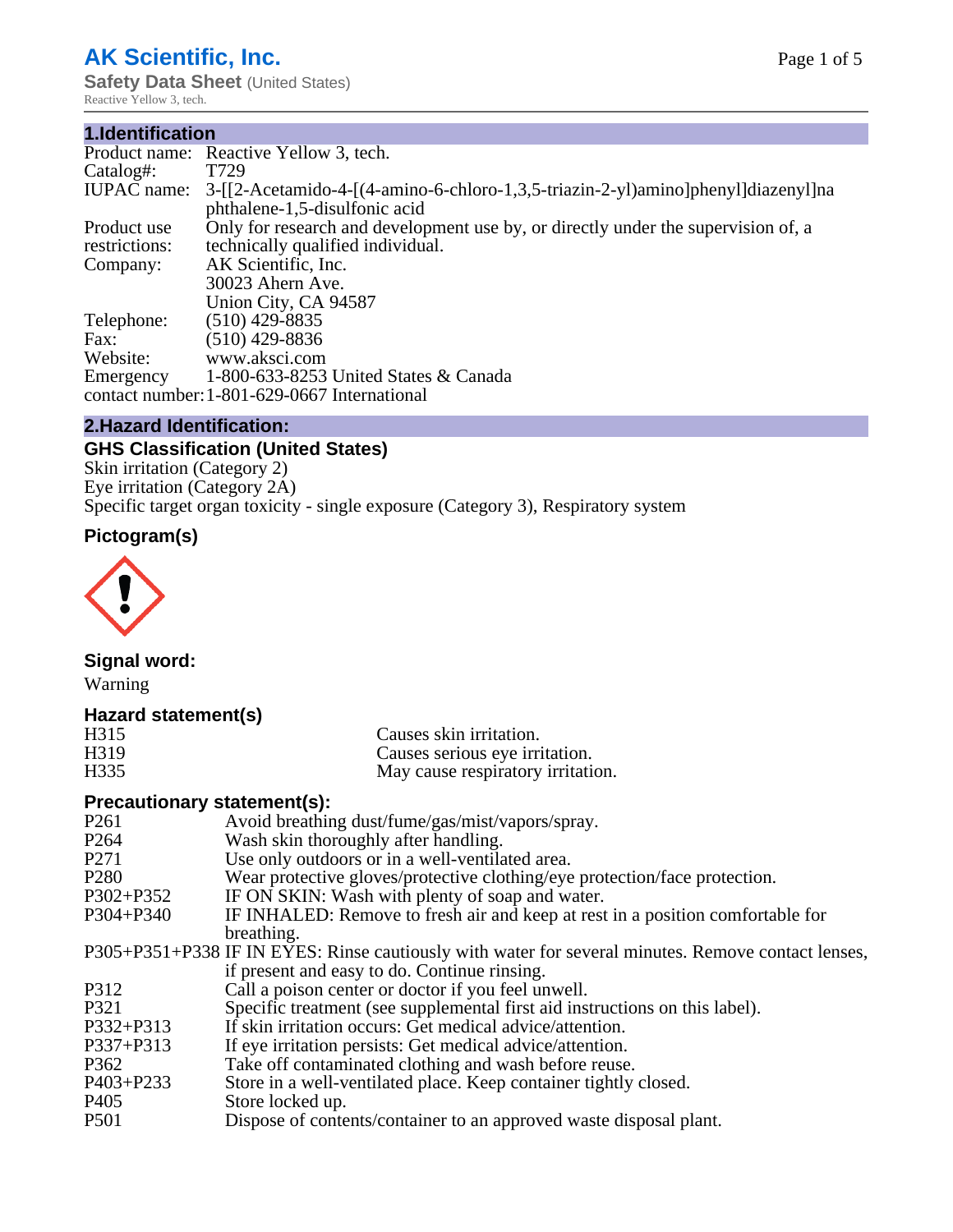## **AK Scientific, Inc.**

**Safety Data Sheet** (United States) Reactive Yellow 3, tech.

#### **1.Identification**

|                    | Product name: Reactive Yellow 3, tech.                                            |
|--------------------|-----------------------------------------------------------------------------------|
| Catalog#:          | T729                                                                              |
| <b>IUPAC</b> name: | 3-[[2-Acetamido-4-[(4-amino-6-chloro-1,3,5-triazin-2-yl)amino]phenyl]diazenyl]na  |
|                    | phthalene-1,5-disulfonic acid                                                     |
| Product use        | Only for research and development use by, or directly under the supervision of, a |
| restrictions:      | technically qualified individual.                                                 |
| Company:           | AK Scientific, Inc.                                                               |
|                    | 30023 Ahern Ave.                                                                  |
|                    | Union City, CA 94587                                                              |
| Telephone:         | $(510)$ 429-8835                                                                  |
| Fax:               | $(510)$ 429-8836                                                                  |
| Website:           | www.aksci.com                                                                     |
| Emergency          | 1-800-633-8253 United States & Canada                                             |
|                    | contact number: 1-801-629-0667 International                                      |

#### **2.Hazard Identification:**

#### **GHS Classification (United States)**

Skin irritation (Category 2) Eye irritation (Category 2A) Specific target organ toxicity - single exposure (Category 3), Respiratory system

### **Pictogram(s)**



#### **Signal word:**

Warning

#### **Hazard statement(s)**

| H315 | Causes skin irritation.           |
|------|-----------------------------------|
| H319 | Causes serious eye irritation.    |
| H335 | May cause respiratory irritation. |

#### **Precautionary statement(s):**

| P <sub>261</sub> | Avoid breathing dust/fume/gas/mist/vapors/spray.                                                   |
|------------------|----------------------------------------------------------------------------------------------------|
| P <sub>264</sub> | Wash skin thoroughly after handling.                                                               |
| P <sub>271</sub> | Use only outdoors or in a well-ventilated area.                                                    |
| P <sub>280</sub> | Wear protective gloves/protective clothing/eye protection/face protection.                         |
| P302+P352        | IF ON SKIN: Wash with plenty of soap and water.                                                    |
| $P304 + P340$    | IF INHALED: Remove to fresh air and keep at rest in a position comfortable for                     |
|                  | breathing.                                                                                         |
|                  | P305+P351+P338 IF IN EYES: Rinse cautiously with water for several minutes. Remove contact lenses, |
|                  | if present and easy to do. Continue rinsing.                                                       |
| P312             | Call a poison center or doctor if you feel unwell.                                                 |
| P321             | Specific treatment (see supplemental first aid instructions on this label).                        |
| P332+P313        | If skin irritation occurs: Get medical advice/attention.                                           |
| $P337 + P313$    | If eye irritation persists: Get medical advice/attention.                                          |
| P362             | Take off contaminated clothing and wash before reuse.                                              |
| $P403 + P233$    | Store in a well-ventilated place. Keep container tightly closed.                                   |
| P <sub>405</sub> | Store locked up.                                                                                   |
| P <sub>501</sub> | Dispose of contents/container to an approved waste disposal plant.                                 |
|                  |                                                                                                    |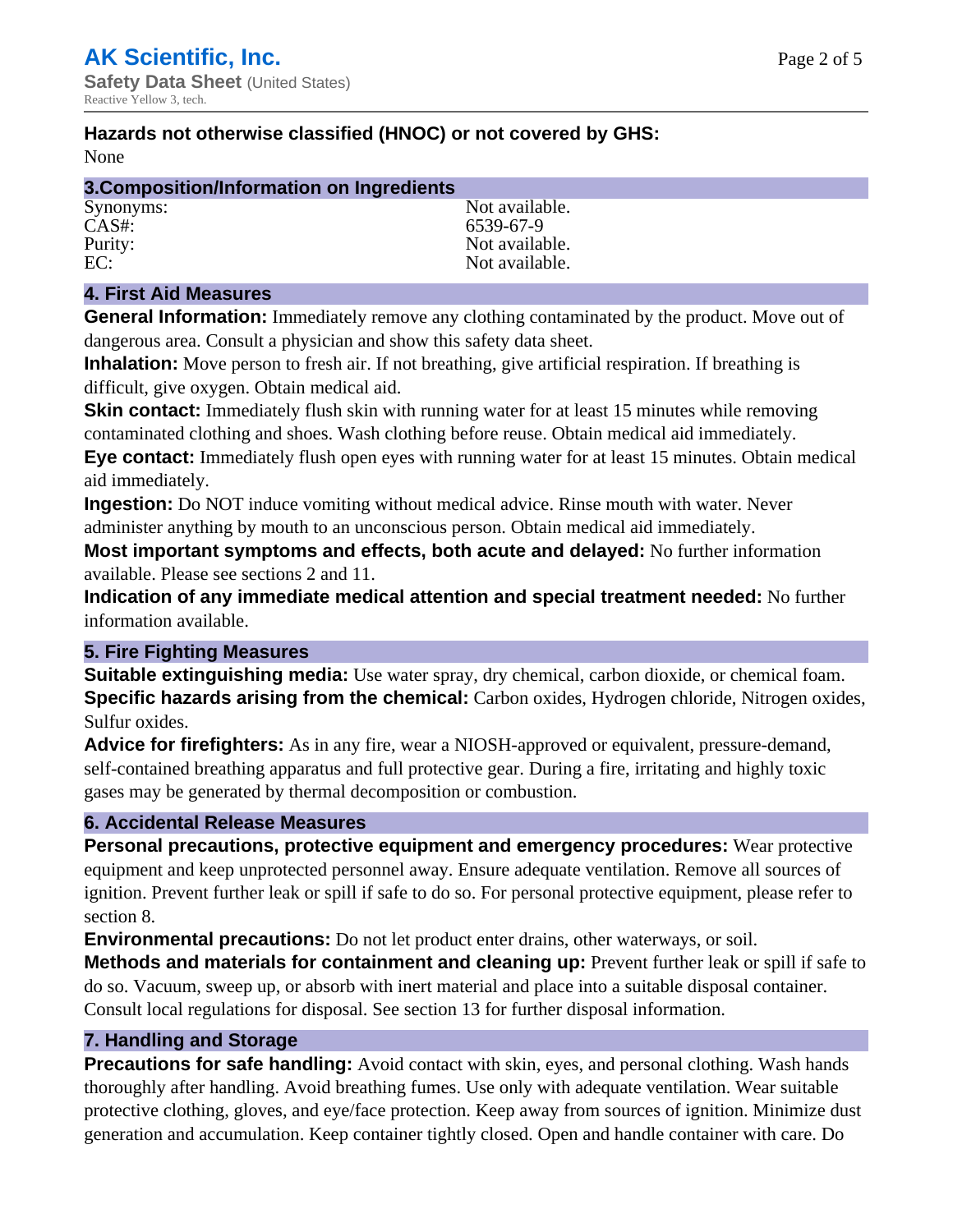#### **Hazards not otherwise classified (HNOC) or not covered by GHS:**

None

| 3. Composition/Information on Ingredients |                |
|-------------------------------------------|----------------|
| Synonyms:                                 | Not available. |
| $CAS#$ :                                  | 6539-67-9      |
| Purity:                                   | Not available. |
| EC:                                       | Not available. |

#### **4. First Aid Measures**

**General Information:** Immediately remove any clothing contaminated by the product. Move out of dangerous area. Consult a physician and show this safety data sheet.

**Inhalation:** Move person to fresh air. If not breathing, give artificial respiration. If breathing is difficult, give oxygen. Obtain medical aid.

**Skin contact:** Immediately flush skin with running water for at least 15 minutes while removing contaminated clothing and shoes. Wash clothing before reuse. Obtain medical aid immediately. **Eye contact:** Immediately flush open eyes with running water for at least 15 minutes. Obtain medical aid immediately.

**Ingestion:** Do NOT induce vomiting without medical advice. Rinse mouth with water. Never administer anything by mouth to an unconscious person. Obtain medical aid immediately.

**Most important symptoms and effects, both acute and delayed:** No further information available. Please see sections 2 and 11.

**Indication of any immediate medical attention and special treatment needed:** No further information available.

#### **5. Fire Fighting Measures**

**Suitable extinguishing media:** Use water spray, dry chemical, carbon dioxide, or chemical foam. **Specific hazards arising from the chemical:** Carbon oxides, Hydrogen chloride, Nitrogen oxides, Sulfur oxides.

**Advice for firefighters:** As in any fire, wear a NIOSH-approved or equivalent, pressure-demand, self-contained breathing apparatus and full protective gear. During a fire, irritating and highly toxic gases may be generated by thermal decomposition or combustion.

#### **6. Accidental Release Measures**

**Personal precautions, protective equipment and emergency procedures:** Wear protective equipment and keep unprotected personnel away. Ensure adequate ventilation. Remove all sources of ignition. Prevent further leak or spill if safe to do so. For personal protective equipment, please refer to section 8.

**Environmental precautions:** Do not let product enter drains, other waterways, or soil.

**Methods and materials for containment and cleaning up:** Prevent further leak or spill if safe to do so. Vacuum, sweep up, or absorb with inert material and place into a suitable disposal container. Consult local regulations for disposal. See section 13 for further disposal information.

#### **7. Handling and Storage**

**Precautions for safe handling:** Avoid contact with skin, eyes, and personal clothing. Wash hands thoroughly after handling. Avoid breathing fumes. Use only with adequate ventilation. Wear suitable protective clothing, gloves, and eye/face protection. Keep away from sources of ignition. Minimize dust generation and accumulation. Keep container tightly closed. Open and handle container with care. Do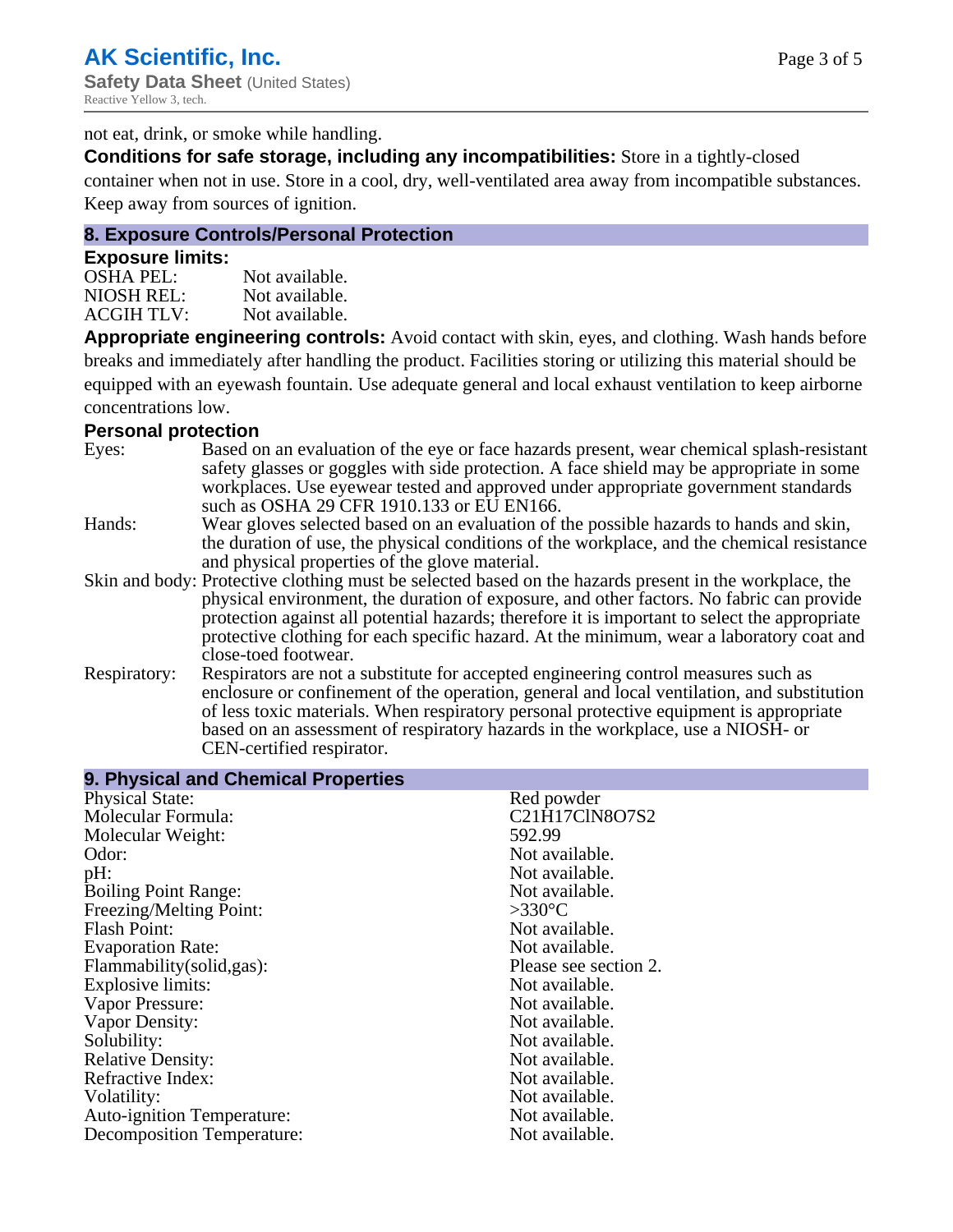not eat, drink, or smoke while handling.

**Conditions for safe storage, including any incompatibilities:** Store in a tightly-closed

container when not in use. Store in a cool, dry, well-ventilated area away from incompatible substances. Keep away from sources of ignition.

#### **8. Exposure Controls/Personal Protection**

#### **Exposure limits:**

| OSHA PEL:  | Not available. |
|------------|----------------|
| NIOSH REL: | Not available. |
| ACGIH TLV: | Not available. |

**Appropriate engineering controls:** Avoid contact with skin, eyes, and clothing. Wash hands before breaks and immediately after handling the product. Facilities storing or utilizing this material should be equipped with an eyewash fountain. Use adequate general and local exhaust ventilation to keep airborne concentrations low.

#### **Personal protection**

| Eyes:        | Based on an evaluation of the eye or face hazards present, wear chemical splash-resistant<br>safety glasses or goggles with side protection. A face shield may be appropriate in some<br>workplaces. Use eyewear tested and approved under appropriate government standards<br>such as OSHA 29 CFR 1910.133 or EU EN166.                                                                                                |
|--------------|-------------------------------------------------------------------------------------------------------------------------------------------------------------------------------------------------------------------------------------------------------------------------------------------------------------------------------------------------------------------------------------------------------------------------|
| Hands:       | Wear gloves selected based on an evaluation of the possible hazards to hands and skin,<br>the duration of use, the physical conditions of the workplace, and the chemical resistance<br>and physical properties of the glove material.                                                                                                                                                                                  |
|              | Skin and body: Protective clothing must be selected based on the hazards present in the workplace, the<br>physical environment, the duration of exposure, and other factors. No fabric can provide<br>protection against all potential hazards; therefore it is important to select the appropriate<br>protective clothing for each specific hazard. At the minimum, wear a laboratory coat and<br>close-toed footwear. |
| Respiratory: | Respirators are not a substitute for accepted engineering control measures such as<br>enclosure or confinement of the operation, general and local ventilation, and substitution<br>of less toxic materials. When respiratory personal protective equipment is appropriate<br>based on an assessment of respiratory hazards in the workplace, use a NIOSH- or<br>CEN-certified respirator.                              |

| 9. Physical and Chemical Properties |                       |
|-------------------------------------|-----------------------|
| <b>Physical State:</b>              | Red powder            |
| Molecular Formula:                  | C21H17ClN8O7S2        |
| Molecular Weight:                   | 592.99                |
| Odor:                               | Not available.        |
| pH:                                 | Not available.        |
| <b>Boiling Point Range:</b>         | Not available.        |
| Freezing/Melting Point:             | $>330^{\circ}$ C      |
| <b>Flash Point:</b>                 | Not available.        |
| <b>Evaporation Rate:</b>            | Not available.        |
| Flammability (solid, gas):          | Please see section 2. |
| Explosive limits:                   | Not available.        |
| Vapor Pressure:                     | Not available.        |
| Vapor Density:                      | Not available.        |
| Solubility:                         | Not available.        |
| <b>Relative Density:</b>            | Not available.        |
| Refractive Index:                   | Not available.        |
| Volatility:                         | Not available.        |
| <b>Auto-ignition Temperature:</b>   | Not available.        |
| Decomposition Temperature:          | Not available.        |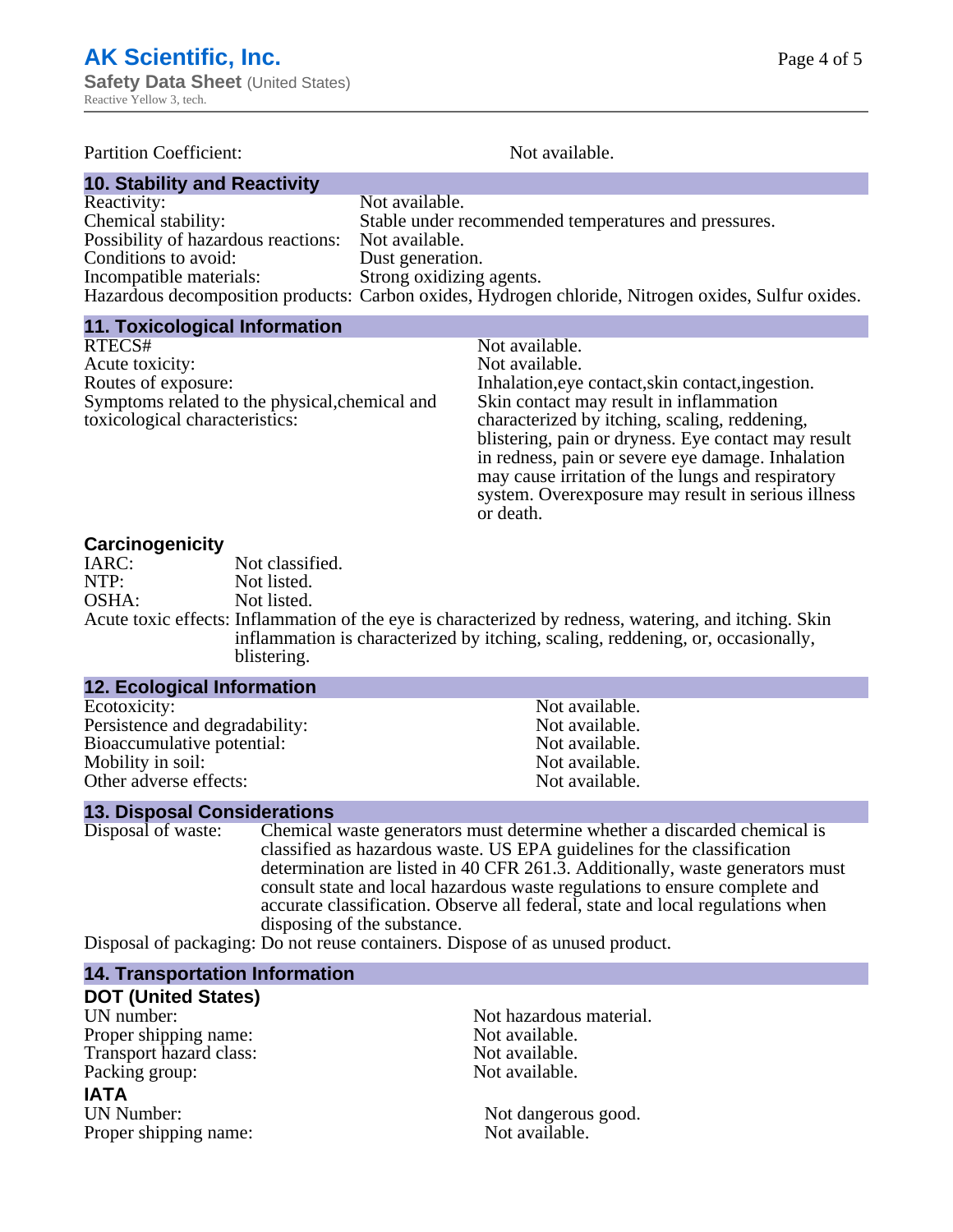| <b>Partition Coefficient:</b>        | Not available.                                                                                      |
|--------------------------------------|-----------------------------------------------------------------------------------------------------|
| <b>10. Stability and Reactivity</b>  |                                                                                                     |
| Reactivity:                          | Not available.                                                                                      |
| Chemical stability:                  | Stable under recommended temperatures and pressures.                                                |
| Possibility of hazardous reactions:  | Not available.                                                                                      |
| Conditions to avoid:                 | Dust generation.                                                                                    |
| Incompatible materials:              | Strong oxidizing agents.                                                                            |
|                                      | Hazardous decomposition products: Carbon oxides, Hydrogen chloride, Nitrogen oxides, Sulfur oxides. |
| <b>11. Toxicological Information</b> |                                                                                                     |

| RTECS#                                         | Not available.                                      |
|------------------------------------------------|-----------------------------------------------------|
| Acute toxicity:                                | Not available.                                      |
| Routes of exposure:                            | Inhalation, eye contact, skin contact, ingestion.   |
| Symptoms related to the physical, chemical and | Skin contact may result in inflammation             |
| toxicological characteristics:                 | characterized by itching, scaling, reddening,       |
|                                                | blistering, pain or dryness. Eye contact may result |
|                                                | in redness, pain or severe eye damage. Inhalation   |
|                                                | may cause irritation of the lungs and respiratory   |
|                                                | system. Overexposure may result in serious illness  |
|                                                | or death.                                           |

#### **Carcinogenicity**

| IARC:                                | Not classified.   |
|--------------------------------------|-------------------|
| NTP:                                 | Not listed.       |
| OSHA:                                | Not listed.       |
| Acute toxic effects: Inflammation of |                   |
|                                      | inflammation is a |

the eye is characterized by redness, watering, and itching. Skin inflammation is characterized by itching, scaling, reddening, or, occasionally, blistering.

| 12. Ecological Information     |                |  |
|--------------------------------|----------------|--|
| Ecotoxicity:                   | Not available. |  |
| Persistence and degradability: | Not available. |  |
| Bioaccumulative potential:     | Not available. |  |
| Mobility in soil:              | Not available. |  |
| Other adverse effects:         | Not available. |  |

# **13. Disposal Considerations**<br>Disposal of waste: Chemical

Chemical waste generators must determine whether a discarded chemical is classified as hazardous waste. US EPA guidelines for the classification determination are listed in 40 CFR 261.3. Additionally, waste generators must consult state and local hazardous waste regulations to ensure complete and accurate classification. Observe all federal, state and local regulations when disposing of the substance.

Disposal of packaging: Do not reuse containers. Dispose of as unused product.

#### **14. Transportation Information**

| <b>DOT (United States)</b> |
|----------------------------|
| UN number:                 |
| Proper shipping name:      |
| Transport hazard class:    |
| Packing group:             |
| IATA                       |

**IATA**<br>UN Number: Proper shipping name: Not available.

Not hazardous material. Not available. Not available. Not available.

Not dangerous good.